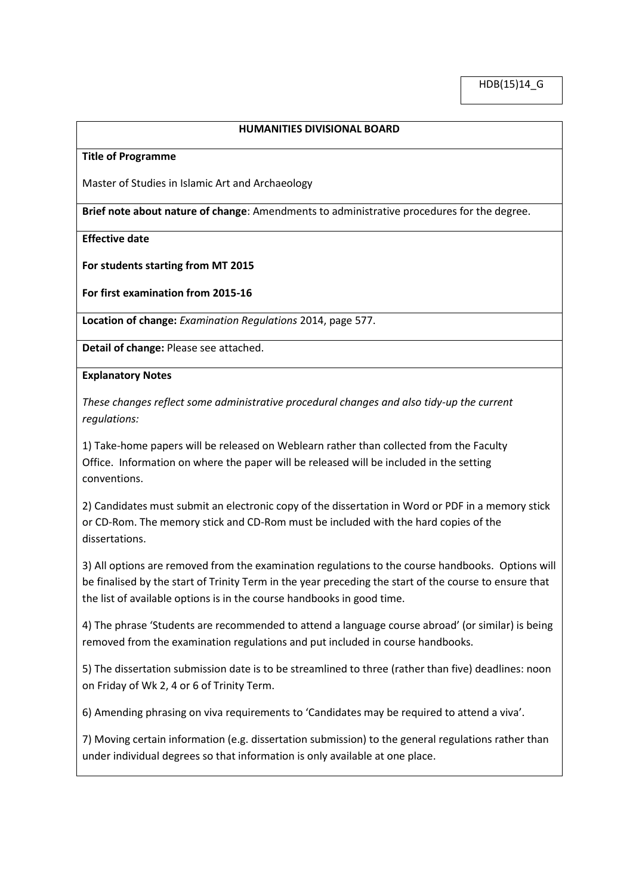## **HUMANITIES DIVISIONAL BOARD**

#### **Title of Programme**

Master of Studies in Islamic Art and Archaeology

**Brief note about nature of change**: Amendments to administrative procedures for the degree.

**Effective date**

**For students starting from MT 2015**

**For first examination from 2015-16**

**Location of change:** *Examination Regulations* 2014, page 577.

**Detail of change:** Please see attached.

**Explanatory Notes**

*These changes reflect some administrative procedural changes and also tidy-up the current regulations:*

1) Take-home papers will be released on Weblearn rather than collected from the Faculty Office. Information on where the paper will be released will be included in the setting conventions.

2) Candidates must submit an electronic copy of the dissertation in Word or PDF in a memory stick or CD-Rom. The memory stick and CD-Rom must be included with the hard copies of the dissertations.

3) All options are removed from the examination regulations to the course handbooks. Options will be finalised by the start of Trinity Term in the year preceding the start of the course to ensure that the list of available options is in the course handbooks in good time.

4) The phrase 'Students are recommended to attend a language course abroad' (or similar) is being removed from the examination regulations and put included in course handbooks.

5) The dissertation submission date is to be streamlined to three (rather than five) deadlines: noon on Friday of Wk 2, 4 or 6 of Trinity Term.

6) Amending phrasing on viva requirements to 'Candidates may be required to attend a viva'.

7) Moving certain information (e.g. dissertation submission) to the general regulations rather than under individual degrees so that information is only available at one place.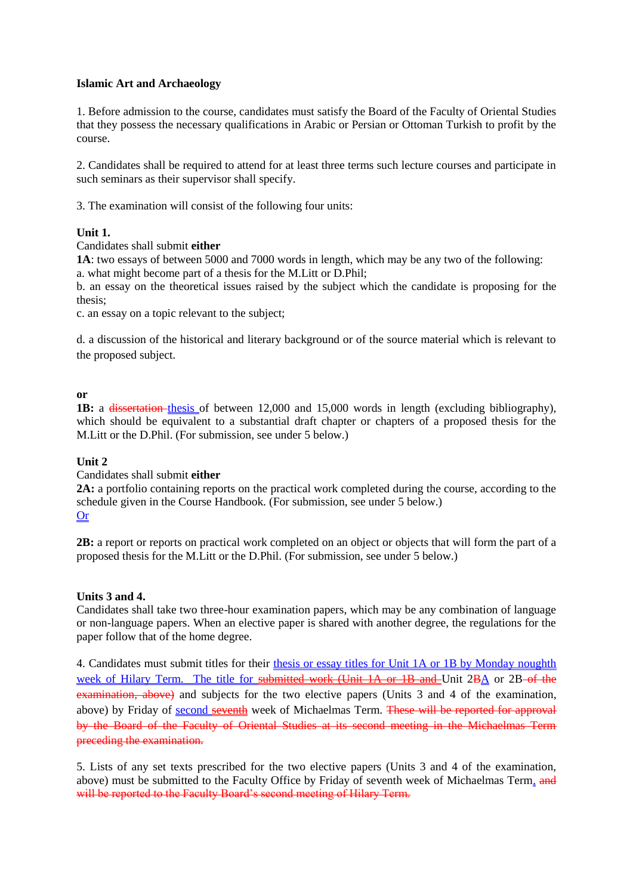## **Islamic Art and Archaeology**

1. Before admission to the course, candidates must satisfy the Board of the Faculty of Oriental Studies that they possess the necessary qualifications in Arabic or Persian or Ottoman Turkish to profit by the course.

2. Candidates shall be required to attend for at least three terms such lecture courses and participate in such seminars as their supervisor shall specify.

3. The examination will consist of the following four units:

## **Unit 1.**

## Candidates shall submit **either**

**1A**: two essays of between 5000 and 7000 words in length, which may be any two of the following: a. what might become part of a thesis for the M.Litt or D.Phil;

b. an essay on the theoretical issues raised by the subject which the candidate is proposing for the thesis;

c. an essay on a topic relevant to the subject;

d. a discussion of the historical and literary background or of the source material which is relevant to the proposed subject.

## **or**

**1B:** a dissertation-thesis of between 12,000 and 15,000 words in length (excluding bibliography), which should be equivalent to a substantial draft chapter or chapters of a proposed thesis for the M.Litt or the D.Phil. (For submission, see under 5 below.)

## **Unit 2**

Candidates shall submit **either**

**2A:** a portfolio containing reports on the practical work completed during the course, according to the schedule given in the Course Handbook. (For submission, see under 5 below.)

# Or

**2B:** a report or reports on practical work completed on an object or objects that will form the part of a proposed thesis for the M.Litt or the D.Phil. (For submission, see under 5 below.)

## **Units 3 and 4.**

Candidates shall take two three-hour examination papers, which may be any combination of language or non-language papers. When an elective paper is shared with another degree, the regulations for the paper follow that of the home degree.

4. Candidates must submit titles for their thesis or essay titles for Unit 1A or 1B by Monday noughth week of Hilary Term. The title for submitted work (Unit 1A or 1B and Unit 2BA or 2B of the examination, above) and subjects for the two elective papers (Units 3 and 4 of the examination, above) by Friday of second seventh week of Michaelmas Term. These will be reported for approval by the Board of the Faculty of Oriental Studies at its second meeting in the Michaelmas Term preceding the examination.

5. Lists of any set texts prescribed for the two elective papers (Units 3 and 4 of the examination, above) must be submitted to the Faculty Office by Friday of seventh week of Michaelmas Term. and will be reported to the Faculty Board's second meeting of Hilary Term.